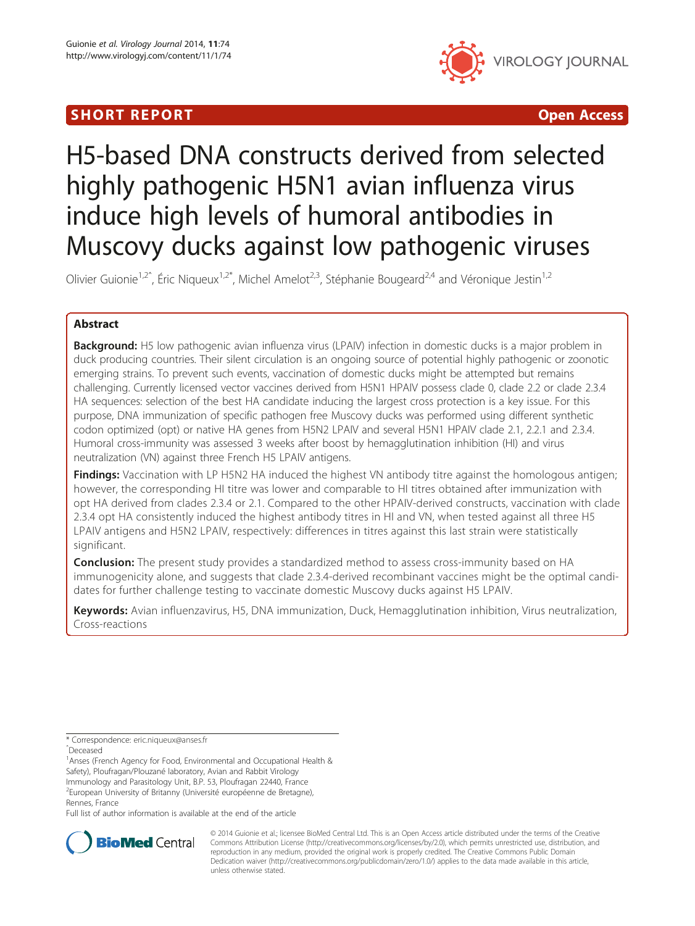# **SHORT REPORT CONSUMING THE CONSUMING THE CONSUMING THE CONSUMING THE CONSUMING THE CONSUMING THE CONSUMING THE CONSUMING THE CONSUMING THE CONSUMING THE CONSUMING THE CONSUMING THE CONSUMING THE CONSUMING THE CONSUMING TH**



# H5-based DNA constructs derived from selected highly pathogenic H5N1 avian influenza virus induce high levels of humoral antibodies in Muscovy ducks against low pathogenic viruses

Olivier Guionie<sup>1,2<sup> $\degree$ </sup>, Éric Niqueux<sup>1,2\*</sup>, Michel Amelot<sup>2,3</sup>, Stéphanie Bougeard<sup>2,4</sup> and Véronique Jestin<sup>1,2</sup></sup>

# Abstract

**Background:** H5 low pathogenic avian influenza virus (LPAIV) infection in domestic ducks is a major problem in duck producing countries. Their silent circulation is an ongoing source of potential highly pathogenic or zoonotic emerging strains. To prevent such events, vaccination of domestic ducks might be attempted but remains challenging. Currently licensed vector vaccines derived from H5N1 HPAIV possess clade 0, clade 2.2 or clade 2.3.4 HA sequences: selection of the best HA candidate inducing the largest cross protection is a key issue. For this purpose, DNA immunization of specific pathogen free Muscovy ducks was performed using different synthetic codon optimized (opt) or native HA genes from H5N2 LPAIV and several H5N1 HPAIV clade 2.1, 2.2.1 and 2.3.4. Humoral cross-immunity was assessed 3 weeks after boost by hemagglutination inhibition (HI) and virus neutralization (VN) against three French H5 LPAIV antigens.

**Findings:** Vaccination with LP H5N2 HA induced the highest VN antibody titre against the homologous antigen; however, the corresponding HI titre was lower and comparable to HI titres obtained after immunization with opt HA derived from clades 2.3.4 or 2.1. Compared to the other HPAIV-derived constructs, vaccination with clade 2.3.4 opt HA consistently induced the highest antibody titres in HI and VN, when tested against all three H5 LPAIV antigens and H5N2 LPAIV, respectively: differences in titres against this last strain were statistically significant.

**Conclusion:** The present study provides a standardized method to assess cross-immunity based on HA immunogenicity alone, and suggests that clade 2.3.4-derived recombinant vaccines might be the optimal candidates for further challenge testing to vaccinate domestic Muscovy ducks against H5 LPAIV.

Keywords: Avian influenzavirus, H5, DNA immunization, Duck, Hemagglutination inhibition, Virus neutralization, Cross-reactions

<sup>1</sup> Anses (French Agency for Food, Environmental and Occupational Health & Safety), Ploufragan/Plouzané laboratory, Avian and Rabbit Virology Immunology and Parasitology Unit, B.P. 53, Ploufragan 22440, France <sup>2</sup>European University of Britanny (Université européenne de Bretagne), Rennes, France

Full list of author information is available at the end of the article



© 2014 Guionie et al.; licensee BioMed Central Ltd. This is an Open Access article distributed under the terms of the Creative Commons Attribution License [\(http://creativecommons.org/licenses/by/2.0\)](http://creativecommons.org/licenses/by/2.0), which permits unrestricted use, distribution, and reproduction in any medium, provided the original work is properly credited. The Creative Commons Public Domain Dedication waiver [\(http://creativecommons.org/publicdomain/zero/1.0/](http://creativecommons.org/publicdomain/zero/1.0/)) applies to the data made available in this article, unless otherwise stated.

<sup>\*</sup> Correspondence: [eric.niqueux@anses.fr](mailto:eric.niqueux@anses.fr)

ˆDeceased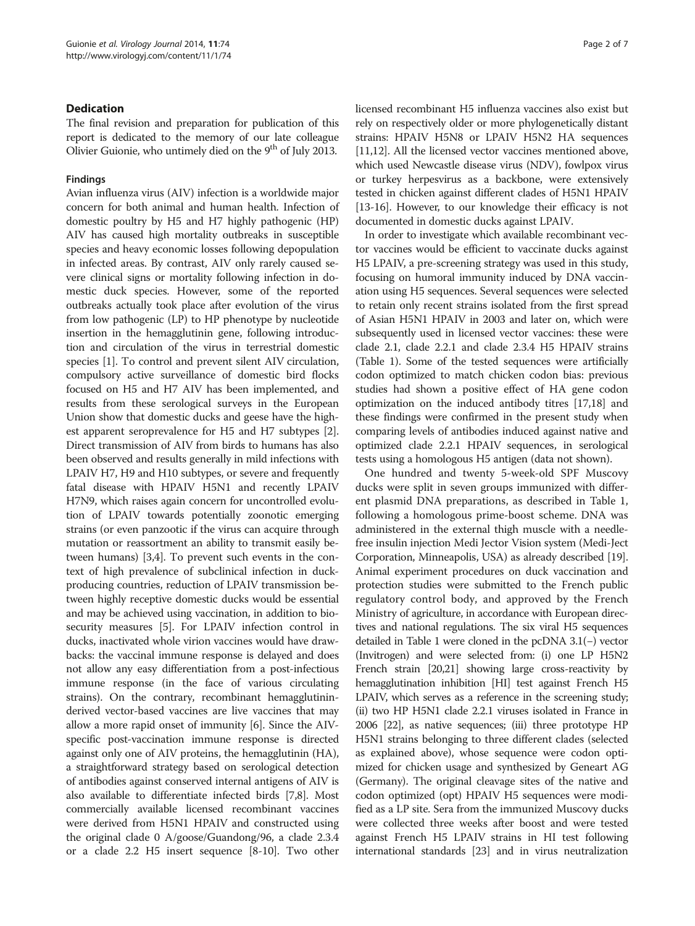# Dedication

The final revision and preparation for publication of this report is dedicated to the memory of our late colleague Olivier Guionie, who untimely died on the 9<sup>th</sup> of July 2013.

## Findings

Avian influenza virus (AIV) infection is a worldwide major concern for both animal and human health. Infection of domestic poultry by H5 and H7 highly pathogenic (HP) AIV has caused high mortality outbreaks in susceptible species and heavy economic losses following depopulation in infected areas. By contrast, AIV only rarely caused severe clinical signs or mortality following infection in domestic duck species. However, some of the reported outbreaks actually took place after evolution of the virus from low pathogenic (LP) to HP phenotype by nucleotide insertion in the hemagglutinin gene, following introduction and circulation of the virus in terrestrial domestic species [\[1\]](#page-5-0). To control and prevent silent AIV circulation, compulsory active surveillance of domestic bird flocks focused on H5 and H7 AIV has been implemented, and results from these serological surveys in the European Union show that domestic ducks and geese have the highest apparent seroprevalence for H5 and H7 subtypes [[2](#page-5-0)]. Direct transmission of AIV from birds to humans has also been observed and results generally in mild infections with LPAIV H7, H9 and H10 subtypes, or severe and frequently fatal disease with HPAIV H5N1 and recently LPAIV H7N9, which raises again concern for uncontrolled evolution of LPAIV towards potentially zoonotic emerging strains (or even panzootic if the virus can acquire through mutation or reassortment an ability to transmit easily between humans) [\[3,4](#page-5-0)]. To prevent such events in the context of high prevalence of subclinical infection in duckproducing countries, reduction of LPAIV transmission between highly receptive domestic ducks would be essential and may be achieved using vaccination, in addition to biosecurity measures [[5](#page-5-0)]. For LPAIV infection control in ducks, inactivated whole virion vaccines would have drawbacks: the vaccinal immune response is delayed and does not allow any easy differentiation from a post-infectious immune response (in the face of various circulating strains). On the contrary, recombinant hemagglutininderived vector-based vaccines are live vaccines that may allow a more rapid onset of immunity [\[6](#page-5-0)]. Since the AIVspecific post-vaccination immune response is directed against only one of AIV proteins, the hemagglutinin (HA), a straightforward strategy based on serological detection of antibodies against conserved internal antigens of AIV is also available to differentiate infected birds [[7,8](#page-5-0)]. Most commercially available licensed recombinant vaccines were derived from H5N1 HPAIV and constructed using the original clade 0 A/goose/Guandong/96, a clade 2.3.4 or a clade 2.2 H5 insert sequence [[8](#page-5-0)-[10](#page-5-0)]. Two other licensed recombinant H5 influenza vaccines also exist but rely on respectively older or more phylogenetically distant strains: HPAIV H5N8 or LPAIV H5N2 HA sequences [[11,12](#page-5-0)]. All the licensed vector vaccines mentioned above, which used Newcastle disease virus (NDV), fowlpox virus or turkey herpesvirus as a backbone, were extensively tested in chicken against different clades of H5N1 HPAIV [[13](#page-5-0)-[16\]](#page-5-0). However, to our knowledge their efficacy is not documented in domestic ducks against LPAIV.

In order to investigate which available recombinant vector vaccines would be efficient to vaccinate ducks against H5 LPAIV, a pre-screening strategy was used in this study, focusing on humoral immunity induced by DNA vaccination using H5 sequences. Several sequences were selected to retain only recent strains isolated from the first spread of Asian H5N1 HPAIV in 2003 and later on, which were subsequently used in licensed vector vaccines: these were clade 2.1, clade 2.2.1 and clade 2.3.4 H5 HPAIV strains (Table [1\)](#page-2-0). Some of the tested sequences were artificially codon optimized to match chicken codon bias: previous studies had shown a positive effect of HA gene codon optimization on the induced antibody titres [[17,18](#page-5-0)] and these findings were confirmed in the present study when comparing levels of antibodies induced against native and optimized clade 2.2.1 HPAIV sequences, in serological tests using a homologous H5 antigen (data not shown).

One hundred and twenty 5-week-old SPF Muscovy ducks were split in seven groups immunized with different plasmid DNA preparations, as described in Table [1](#page-2-0), following a homologous prime-boost scheme. DNA was administered in the external thigh muscle with a needlefree insulin injection Medi Jector Vision system (Medi-Ject Corporation, Minneapolis, USA) as already described [[19](#page-5-0)]. Animal experiment procedures on duck vaccination and protection studies were submitted to the French public regulatory control body, and approved by the French Ministry of agriculture, in accordance with European directives and national regulations. The six viral H5 sequences detailed in Table [1](#page-2-0) were cloned in the pcDNA 3.1(−) vector (Invitrogen) and were selected from: (i) one LP H5N2 French strain [[20,21\]](#page-5-0) showing large cross-reactivity by hemagglutination inhibition [HI] test against French H5 LPAIV, which serves as a reference in the screening study; (ii) two HP H5N1 clade 2.2.1 viruses isolated in France in 2006 [[22](#page-5-0)], as native sequences; (iii) three prototype HP H5N1 strains belonging to three different clades (selected as explained above), whose sequence were codon optimized for chicken usage and synthesized by Geneart AG (Germany). The original cleavage sites of the native and codon optimized (opt) HPAIV H5 sequences were modified as a LP site. Sera from the immunized Muscovy ducks were collected three weeks after boost and were tested against French H5 LPAIV strains in HI test following international standards [[23](#page-5-0)] and in virus neutralization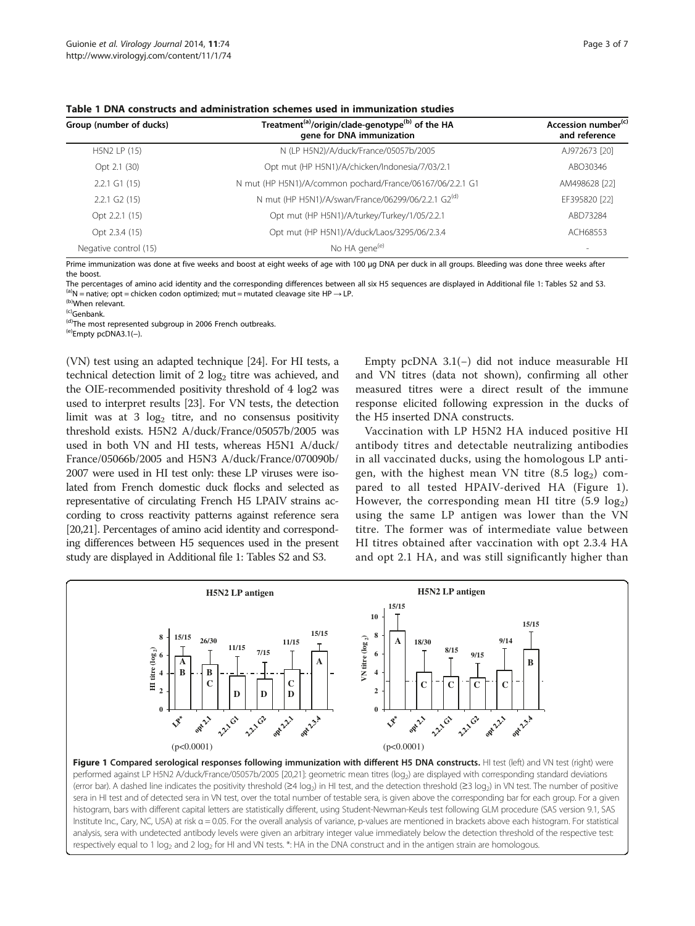<span id="page-2-0"></span>Table 1 DNA constructs and administration schemes used in immunization studies

| Group (number of ducks)     | Treatment <sup>(a)</sup> /origin/clade-genotype <sup>(b)</sup> of the HA<br>gene for DNA immunization | Accession number <sup>(c)</sup><br>and reference |
|-----------------------------|-------------------------------------------------------------------------------------------------------|--------------------------------------------------|
| H5N2 LP (15)                | N (LP H5N2)/A/duck/France/05057b/2005                                                                 | AJ972673 [20]                                    |
| Opt 2.1 (30)                | Opt mut (HP H5N1)/A/chicken/Indonesia/7/03/2.1                                                        | ABO30346                                         |
| $2.2.1$ G1 (15)             | N mut (HP H5N1)/A/common pochard/France/06167/06/2.2.1 G1                                             | AM498628 [22]                                    |
| $2.2.1$ G <sub>2</sub> (15) | N mut (HP H5N1)/A/swan/France/06299/06/2.2.1 G2(d)                                                    | EF395820 [22]                                    |
| Opt 2.2.1 (15)              | Opt mut (HP H5N1)/A/turkey/Turkey/1/05/2.2.1                                                          | ABD73284                                         |
| Opt 2.3.4 (15)              | Opt mut (HP H5N1)/A/duck/Laos/3295/06/2.3.4                                                           | ACH68553                                         |
| Negative control (15)       | No HA gene <sup>(e)</sup>                                                                             | $\sim$                                           |

Prime immunization was done at five weeks and boost at eight weeks of age with 100 μg DNA per duck in all groups. Bleeding was done three weeks after the boost.

The percentages of amino acid identity and the corresponding differences between all six H5 sequences are displayed in Additional file [1:](#page-4-0) Tables S2 and S3.<br><sup>(a)</sup>N = native; opt = chicken codon optimized; mut = mutated cle

(d)The most represented subgroup in 2006 French outbreaks. (e)Empty pcDNA3.1(–).

(VN) test using an adapted technique [[24](#page-5-0)]. For HI tests, a technical detection limit of 2  $log<sub>2</sub>$  titre was achieved, and the OIE-recommended positivity threshold of 4 log2 was used to interpret results [\[23\]](#page-5-0). For VN tests, the detection limit was at 3  $log<sub>2</sub>$  titre, and no consensus positivity threshold exists. H5N2 A/duck/France/05057b/2005 was used in both VN and HI tests, whereas H5N1 A/duck/ France/05066b/2005 and H5N3 A/duck/France/070090b/ 2007 were used in HI test only: these LP viruses were isolated from French domestic duck flocks and selected as representative of circulating French H5 LPAIV strains according to cross reactivity patterns against reference sera [[20,21\]](#page-5-0). Percentages of amino acid identity and corresponding differences between H5 sequences used in the present study are displayed in Additional file [1:](#page-4-0) Tables S2 and S3.

Empty pcDNA 3.1(−) did not induce measurable HI and VN titres (data not shown), confirming all other measured titres were a direct result of the immune response elicited following expression in the ducks of the H5 inserted DNA constructs.

Vaccination with LP H5N2 HA induced positive HI antibody titres and detectable neutralizing antibodies in all vaccinated ducks, using the homologous LP antigen, with the highest mean VN titre  $(8.5 \text{ log}_2)$  compared to all tested HPAIV-derived HA (Figure 1). However, the corresponding mean HI titre  $(5.9 \text{ log}_2)$ using the same LP antigen was lower than the VN titre. The former was of intermediate value between HI titres obtained after vaccination with opt 2.3.4 HA and opt 2.1 HA, and was still significantly higher than



Figure 1 Compared serological responses following immunization with different H5 DNA constructs. HI test (left) and VN test (right) were performed against LP H5N2 A/duck/France/05057b/2005 [\[20,21](#page-5-0)]: geometric mean titres (log<sub>2</sub>) are displayed with corresponding standard deviations (error bar). A dashed line indicates the positivity threshold ( $\geq 4 \log_2$ ) in HI test, and the detection threshold ( $\geq 3 \log_2$ ) in VN test. The number of positive sera in HI test and of detected sera in VN test, over the total number of testable sera, is given above the corresponding bar for each group. For a given histogram, bars with different capital letters are statistically different, using Student-Newman-Keuls test following GLM procedure (SAS version 9.1, SAS Institute Inc., Cary, NC, USA) at risk α = 0.05. For the overall analysis of variance, p-values are mentioned in brackets above each histogram. For statistical analysis, sera with undetected antibody levels were given an arbitrary integer value immediately below the detection threshold of the respective test: respectively equal to 1  $log_2$  and 2  $log_2$  for HI and VN tests. \*: HA in the DNA construct and in the antigen strain are homologous.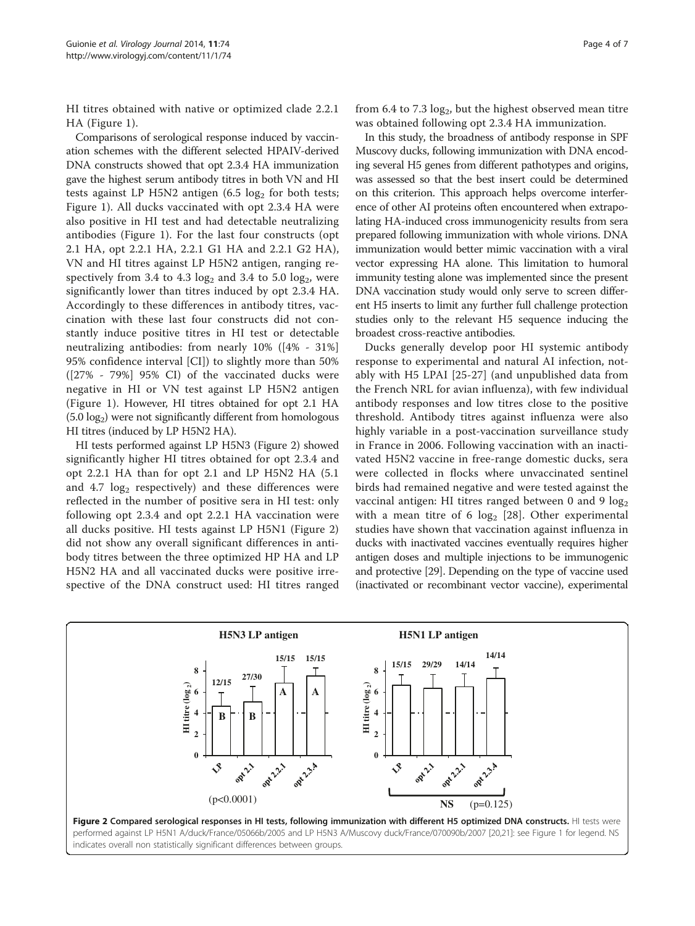<span id="page-3-0"></span>HI titres obtained with native or optimized clade 2.2.1 HA (Figure [1\)](#page-2-0).

Comparisons of serological response induced by vaccination schemes with the different selected HPAIV-derived DNA constructs showed that opt 2.3.4 HA immunization gave the highest serum antibody titres in both VN and HI tests against LP H5N2 antigen  $(6.5 \log_2 6r)$  both tests; Figure [1](#page-2-0)). All ducks vaccinated with opt 2.3.4 HA were also positive in HI test and had detectable neutralizing antibodies (Figure [1\)](#page-2-0). For the last four constructs (opt 2.1 HA, opt 2.2.1 HA, 2.2.1 G1 HA and 2.2.1 G2 HA), VN and HI titres against LP H5N2 antigen, ranging respectively from 3.4 to 4.3 log<sub>2</sub> and 3.4 to 5.0 log<sub>2</sub>, were significantly lower than titres induced by opt 2.3.4 HA. Accordingly to these differences in antibody titres, vaccination with these last four constructs did not constantly induce positive titres in HI test or detectable neutralizing antibodies: from nearly 10% ([4% - 31%] 95% confidence interval [CI]) to slightly more than 50% ([27% - 79%] 95% CI) of the vaccinated ducks were negative in HI or VN test against LP H5N2 antigen (Figure [1](#page-2-0)). However, HI titres obtained for opt 2.1 HA  $(5.0 \log_2)$  were not significantly different from homologous HI titres (induced by LP H5N2 HA).

HI tests performed against LP H5N3 (Figure 2) showed significantly higher HI titres obtained for opt 2.3.4 and opt 2.2.1 HA than for opt 2.1 and LP H5N2 HA (5.1 and  $4.7 \log_2$  respectively) and these differences were reflected in the number of positive sera in HI test: only following opt 2.3.4 and opt 2.2.1 HA vaccination were all ducks positive. HI tests against LP H5N1 (Figure 2) did not show any overall significant differences in antibody titres between the three optimized HP HA and LP H5N2 HA and all vaccinated ducks were positive irrespective of the DNA construct used: HI titres ranged from  $6.4$  to  $7.3 \log_2$ , but the highest observed mean titre was obtained following opt 2.3.4 HA immunization.

In this study, the broadness of antibody response in SPF Muscovy ducks, following immunization with DNA encoding several H5 genes from different pathotypes and origins, was assessed so that the best insert could be determined on this criterion. This approach helps overcome interference of other AI proteins often encountered when extrapolating HA-induced cross immunogenicity results from sera prepared following immunization with whole virions. DNA immunization would better mimic vaccination with a viral vector expressing HA alone. This limitation to humoral immunity testing alone was implemented since the present DNA vaccination study would only serve to screen different H5 inserts to limit any further full challenge protection studies only to the relevant H5 sequence inducing the broadest cross-reactive antibodies.

Ducks generally develop poor HI systemic antibody response to experimental and natural AI infection, notably with H5 LPAI [[25-27](#page-5-0)] (and unpublished data from the French NRL for avian influenza), with few individual antibody responses and low titres close to the positive threshold. Antibody titres against influenza were also highly variable in a post-vaccination surveillance study in France in 2006. Following vaccination with an inactivated H5N2 vaccine in free-range domestic ducks, sera were collected in flocks where unvaccinated sentinel birds had remained negative and were tested against the vaccinal antigen: HI titres ranged between 0 and 9  $log_2$ with a mean titre of 6  $log_2$  [\[28](#page-5-0)]. Other experimental studies have shown that vaccination against influenza in ducks with inactivated vaccines eventually requires higher antigen doses and multiple injections to be immunogenic and protective [\[29\]](#page-5-0). Depending on the type of vaccine used (inactivated or recombinant vector vaccine), experimental

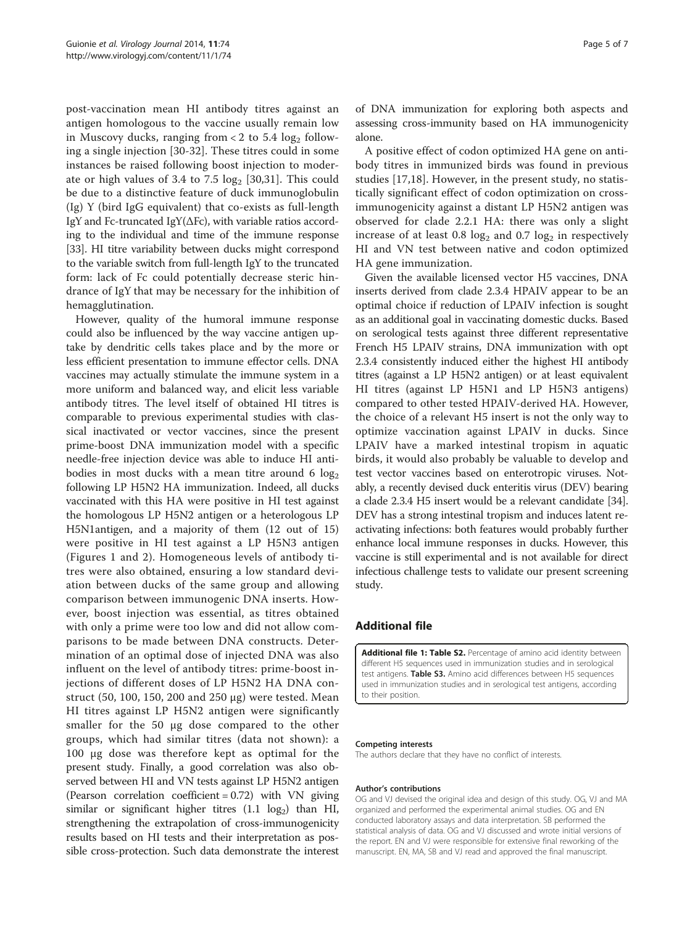<span id="page-4-0"></span>post-vaccination mean HI antibody titres against an antigen homologous to the vaccine usually remain low in Muscovy ducks, ranging from  $< 2$  to 5.4 log<sub>2</sub> following a single injection [[30-32](#page-5-0)]. These titres could in some instances be raised following boost injection to moderate or high values of 3.4 to 7.5  $log_2$  [\[30,31\]](#page-5-0). This could be due to a distinctive feature of duck immunoglobulin (Ig) Y (bird IgG equivalent) that co-exists as full-length IgY and Fc-truncated IgY(ΔFc), with variable ratios according to the individual and time of the immune response [[33](#page-6-0)]. HI titre variability between ducks might correspond to the variable switch from full-length IgY to the truncated form: lack of Fc could potentially decrease steric hindrance of IgY that may be necessary for the inhibition of hemagglutination.

However, quality of the humoral immune response could also be influenced by the way vaccine antigen uptake by dendritic cells takes place and by the more or less efficient presentation to immune effector cells. DNA vaccines may actually stimulate the immune system in a more uniform and balanced way, and elicit less variable antibody titres. The level itself of obtained HI titres is comparable to previous experimental studies with classical inactivated or vector vaccines, since the present prime-boost DNA immunization model with a specific needle-free injection device was able to induce HI antibodies in most ducks with a mean titre around 6  $log<sub>2</sub>$ following LP H5N2 HA immunization. Indeed, all ducks vaccinated with this HA were positive in HI test against the homologous LP H5N2 antigen or a heterologous LP H5N1antigen, and a majority of them (12 out of 15) were positive in HI test against a LP H5N3 antigen (Figures [1](#page-2-0) and [2](#page-3-0)). Homogeneous levels of antibody titres were also obtained, ensuring a low standard deviation between ducks of the same group and allowing comparison between immunogenic DNA inserts. However, boost injection was essential, as titres obtained with only a prime were too low and did not allow comparisons to be made between DNA constructs. Determination of an optimal dose of injected DNA was also influent on the level of antibody titres: prime-boost injections of different doses of LP H5N2 HA DNA construct (50, 100, 150, 200 and 250 μg) were tested. Mean HI titres against LP H5N2 antigen were significantly smaller for the 50 μg dose compared to the other groups, which had similar titres (data not shown): a 100 μg dose was therefore kept as optimal for the present study. Finally, a good correlation was also observed between HI and VN tests against LP H5N2 antigen (Pearson correlation coefficient  $= 0.72$ ) with VN giving similar or significant higher titres  $(1.1 \text{ log}_2)$  than HI, strengthening the extrapolation of cross-immunogenicity results based on HI tests and their interpretation as possible cross-protection. Such data demonstrate the interest

of DNA immunization for exploring both aspects and assessing cross-immunity based on HA immunogenicity alone.

A positive effect of codon optimized HA gene on antibody titres in immunized birds was found in previous studies [[17,18\]](#page-5-0). However, in the present study, no statistically significant effect of codon optimization on crossimmunogenicity against a distant LP H5N2 antigen was observed for clade 2.2.1 HA: there was only a slight increase of at least  $0.8 \text{ log}_2$  and  $0.7 \text{ log}_2$  in respectively HI and VN test between native and codon optimized HA gene immunization.

Given the available licensed vector H5 vaccines, DNA inserts derived from clade 2.3.4 HPAIV appear to be an optimal choice if reduction of LPAIV infection is sought as an additional goal in vaccinating domestic ducks. Based on serological tests against three different representative French H5 LPAIV strains, DNA immunization with opt 2.3.4 consistently induced either the highest HI antibody titres (against a LP H5N2 antigen) or at least equivalent HI titres (against LP H5N1 and LP H5N3 antigens) compared to other tested HPAIV-derived HA. However, the choice of a relevant H5 insert is not the only way to optimize vaccination against LPAIV in ducks. Since LPAIV have a marked intestinal tropism in aquatic birds, it would also probably be valuable to develop and test vector vaccines based on enterotropic viruses. Notably, a recently devised duck enteritis virus (DEV) bearing a clade 2.3.4 H5 insert would be a relevant candidate [[34](#page-6-0)]. DEV has a strong intestinal tropism and induces latent reactivating infections: both features would probably further enhance local immune responses in ducks. However, this vaccine is still experimental and is not available for direct infectious challenge tests to validate our present screening study.

# Additional file

[Additional file 1: Table S2.](http://www.biomedcentral.com/content/supplementary/1743-422X-11-74-S1.pdf) Percentage of amino acid identity between different H5 sequences used in immunization studies and in serological test antigens. Table S3. Amino acid differences between H5 sequences used in immunization studies and in serological test antigens, according to their position.

#### Competing interests

The authors declare that they have no conflict of interests.

#### Author's contributions

OG and VJ devised the original idea and design of this study. OG, VJ and MA organized and performed the experimental animal studies. OG and EN conducted laboratory assays and data interpretation. SB performed the statistical analysis of data. OG and VJ discussed and wrote initial versions of the report. EN and VJ were responsible for extensive final reworking of the manuscript. EN, MA, SB and VJ read and approved the final manuscript.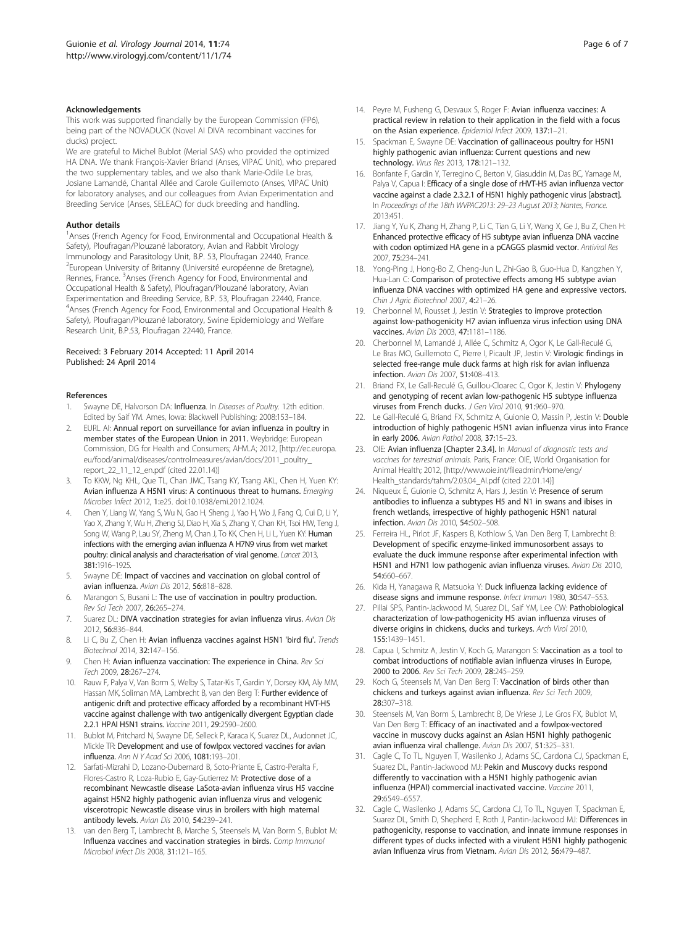#### <span id="page-5-0"></span>Acknowledgements

This work was supported financially by the European Commission (FP6), being part of the NOVADUCK (Novel AI DIVA recombinant vaccines for ducks) project.

We are grateful to Michel Bublot (Merial SAS) who provided the optimized HA DNA. We thank François-Xavier Briand (Anses, VIPAC Unit), who prepared the two supplementary tables, and we also thank Marie-Odile Le bras, Josiane Lamandé, Chantal Allée and Carole Guillemoto (Anses, VIPAC Unit) for laboratory analyses, and our colleagues from Avian Experimentation and Breeding Service (Anses, SELEAC) for duck breeding and handling.

#### Author details

<sup>1</sup> Anses (French Agency for Food, Environmental and Occupational Health & Safety), Ploufragan/Plouzané laboratory, Avian and Rabbit Virology Immunology and Parasitology Unit, B.P. 53, Ploufragan 22440, France. <sup>2</sup> European University of Britanny (Université européenne de Bretagne), Rennes, France. <sup>3</sup>Anses (French Agency for Food, Environmental and Occupational Health & Safety), Ploufragan/Plouzané laboratory, Avian Experimentation and Breeding Service, B.P. 53, Ploufragan 22440, France. 4 Anses (French Agency for Food, Environmental and Occupational Health & Safety), Ploufragan/Plouzané laboratory, Swine Epidemiology and Welfare Research Unit, B.P.53, Ploufragan 22440, France.

#### Received: 3 February 2014 Accepted: 11 April 2014 Published: 24 April 2014

#### References

- Swayne DE, Halvorson DA: Influenza. In Diseases of Poultry. 12th edition. Edited by Saif YM. Ames, Iowa: Blackwell Publishing; 2008:153–184.
- EURL AI: Annual report on surveillance for avian influenza in poultry in member states of the European Union in 2011. Weybridge: European Commission, DG for Health and Consumers; AHVLA; 2012, [\[http://ec.europa.](http://ec.europa.eu/food/animal/diseases/controlmeasures/avian/docs/2011_poultry_report_22_11_12_en.pdf) [eu/food/animal/diseases/controlmeasures/avian/docs/2011\\_poultry\\_](http://ec.europa.eu/food/animal/diseases/controlmeasures/avian/docs/2011_poultry_report_22_11_12_en.pdf) [report\\_22\\_11\\_12\\_en.pdf](http://ec.europa.eu/food/animal/diseases/controlmeasures/avian/docs/2011_poultry_report_22_11_12_en.pdf) (cited 22.01.14)]
- To KKW, Ng KHL, Que TL, Chan JMC, Tsang KY, Tsang AKL, Chen H, Yuen KY: Avian influenza A H5N1 virus: A continuous threat to humans. Emerging Microbes Infect 2012, 1:e25. doi:10.1038/emi.2012.1024.
- Chen Y, Liang W, Yang S, Wu N, Gao H, Sheng J, Yao H, Wo J, Fang Q, Cui D, Li Y, Yao X, Zhang Y, Wu H, Zheng SJ, Diao H, Xia S, Zhang Y, Chan KH, Tsoi HW, Teng J, Song W, Wang P, Lau SY, Zheng M, Chan J, To KK, Chen H, Li L, Yuen KY: Human infections with the emerging avian influenza A H7N9 virus from wet market poultry: clinical analysis and characterisation of viral genome. Lancet 2013, 381:1916–1925.
- 5. Swayne DE: Impact of vaccines and vaccination on global control of avian influenza. Avian Dis 2012, 56:818–828.
- Marangon S, Busani L: The use of vaccination in poultry production. Rev Sci Tech 2007, 26:265–274.
- 7. Suarez DL: DIVA vaccination strategies for avian influenza virus. Avian Dis 2012, 56:836–844.
- 8. Li C, Bu Z, Chen H: Avian influenza vaccines against H5N1 'bird flu'. Trends Biotechnol 2014, 32:147–156.
- 9. Chen H: Avian influenza vaccination: The experience in China. Rev Sci Tech 2009, 28:267–274.
- 10. Rauw F, Palya V, Van Borm S, Welby S, Tatar-Kis T, Gardin Y, Dorsey KM, Aly MM, Hassan MK, Soliman MA, Lambrecht B, van den Berg T: Further evidence of antigenic drift and protective efficacy afforded by a recombinant HVT-H5 vaccine against challenge with two antigenically divergent Egyptian clade 2.2.1 HPAI H5N1 strains. Vaccine 2011, 29:2590–2600.
- 11. Bublot M, Pritchard N, Swayne DE, Selleck P, Karaca K, Suarez DL, Audonnet JC, Mickle TR: Development and use of fowlpox vectored vaccines for avian influenza. Ann N Y Acad Sci 2006, 1081:193–201.
- 12. Sarfati-Mizrahi D, Lozano-Dubernard B, Soto-Priante E, Castro-Peralta F, Flores-Castro R, Loza-Rubio E, Gay-Gutierrez M: Protective dose of a recombinant Newcastle disease LaSota-avian influenza virus H5 vaccine against H5N2 highly pathogenic avian influenza virus and velogenic viscerotropic Newcastle disease virus in broilers with high maternal antibody levels. Avian Dis 2010, 54:239–241.
- 13. van den Berg T, Lambrecht B, Marche S, Steensels M, Van Borm S, Bublot M: Influenza vaccines and vaccination strategies in birds. Comp Immunol Microbiol Infect Dis 2008, 31:121–165.
- 14. Peyre M, Fusheng G, Desvaux S, Roger F: Avian influenza vaccines: A practical review in relation to their application in the field with a focus on the Asian experience. Epidemiol Infect 2009, 137:1–21.
- 15. Spackman E, Swayne DE: Vaccination of gallinaceous poultry for H5N1 highly pathogenic avian influenza: Current questions and new technology. Virus Res 2013, 178:121–132.
- 16. Bonfante F, Gardin Y, Terregino C, Berton V, Giasuddin M, Das BC, Yamage M, Palya V, Capua I: Efficacy of a single dose of rHVT-H5 avian influenza vector vaccine against a clade 2.3.2.1 of H5N1 highly pathogenic virus [abstract]. In Proceedings of the 18th WVPAC2013: 29–23 August 2013; Nantes, France. 2013:451.
- 17. Jiang Y, Yu K, Zhang H, Zhang P, Li C, Tian G, Li Y, Wang X, Ge J, Bu Z, Chen H: Enhanced protective efficacy of H5 subtype avian influenza DNA vaccine with codon optimized HA gene in a pCAGGS plasmid vector. Antiviral Res 2007, 75:234–241.
- 18. Yong-Ping J, Hong-Bo Z, Cheng-Jun L, Zhi-Gao B, Guo-Hua D, Kangzhen Y, Hua-Lan C: Comparison of protective effects among H5 subtype avian influenza DNA vaccines with optimized HA gene and expressive vectors. Chin J Agric Biotechnol 2007, 4:21–26.
- 19. Cherbonnel M, Rousset J, Jestin V: Strategies to improve protection against low-pathogenicity H7 avian influenza virus infection using DNA vaccines. Avian Dis 2003, 47:1181–1186.
- 20. Cherbonnel M, Lamandé J, Allée C, Schmitz A, Ogor K, Le Gall-Reculé G, Le Bras MO, Guillemoto C, Pierre I, Picault JP, Jestin V: Virologic findings in selected free-range mule duck farms at high risk for avian influenza infection. Avian Dis 2007, 51:408–413.
- 21. Briand FX, Le Gall-Reculé G, Guillou-Cloarec C, Ogor K, Jestin V: Phylogeny and genotyping of recent avian low-pathogenic H5 subtype influenza viruses from French ducks. J Gen Virol 2010, 91:960–970.
- 22. Le Gall-Reculé G, Briand FX, Schmitz A, Guionie O, Massin P, Jestin V: Double introduction of highly pathogenic H5N1 avian influenza virus into France in early 2006. Avian Pathol 2008, 37:15–23.
- 23. OIE: Avian influenza [Chapter 2.3.4]. In Manual of diagnostic tests and vaccines for terrestrial animals. Paris, France: OIE, World Organisation for Animal Health; 2012, [\[http://www.oie.int/fileadmin/Home/eng/](http://www.oie.int/fileadmin/Home/eng/Health_standards/tahm/2.03.04_AI.pdf) [Health\\_standards/tahm/2.03.04\\_AI.pdf](http://www.oie.int/fileadmin/Home/eng/Health_standards/tahm/2.03.04_AI.pdf) (cited 22.01.14)]
- 24. Niqueux É, Guionie O, Schmitz A, Hars J, Jestin V: Presence of serum antibodies to influenza a subtypes H5 and N1 in swans and ibises in french wetlands, irrespective of highly pathogenic H5N1 natural infection. Avian Dis 2010, 54:502–508.
- 25. Ferreira HL, Pirlot JF, Kaspers B, Kothlow S, Van Den Berg T, Lambrecht B: Development of specific enzyme-linked immunosorbent assays to evaluate the duck immune response after experimental infection with H5N1 and H7N1 low pathogenic avian influenza viruses. Avian Dis 2010, 54:660–667.
- 26. Kida H, Yanagawa R, Matsuoka Y: Duck influenza lacking evidence of disease signs and immune response. Infect Immun 1980, 30:547–553.
- 27. Pillai SPS, Pantin-Jackwood M, Suarez DL, Saif YM, Lee CW: Pathobiological characterization of low-pathogenicity H5 avian influenza viruses of diverse origins in chickens, ducks and turkeys. Arch Virol 2010, 155:1439–1451.
- 28. Capua I, Schmitz A, Jestin V, Koch G, Marangon S: Vaccination as a tool to combat introductions of notifiable avian influenza viruses in Europe, 2000 to 2006. Rev Sci Tech 2009, 28:245-259.
- 29. Koch G, Steensels M, Van Den Berg T: Vaccination of birds other than chickens and turkeys against avian influenza. Rev Sci Tech 2009, 28:307–318.
- 30. Steensels M, Van Borm S, Lambrecht B, De Vriese J, Le Gros FX, Bublot M, Van Den Berg T: Efficacy of an inactivated and a fowlpox-vectored vaccine in muscovy ducks against an Asian H5N1 highly pathogenic avian influenza viral challenge. Avian Dis 2007, 51:325–331.
- 31. Cagle C, To TL, Nguyen T, Wasilenko J, Adams SC, Cardona CJ, Spackman E, Suarez DL, Pantin-Jackwood MJ: Pekin and Muscovy ducks respond differently to vaccination with a H5N1 highly pathogenic avian influenza (HPAI) commercial inactivated vaccine. Vaccine 2011, 29:6549–6557.
- 32. Cagle C, Wasilenko J, Adams SC, Cardona CJ, To TL, Nguyen T, Spackman E, Suarez DL, Smith D, Shepherd E, Roth J, Pantin-Jackwood MJ: Differences in pathogenicity, response to vaccination, and innate immune responses in different types of ducks infected with a virulent H5N1 highly pathogenic avian Influenza virus from Vietnam. Avian Dis 2012, 56:479–487.